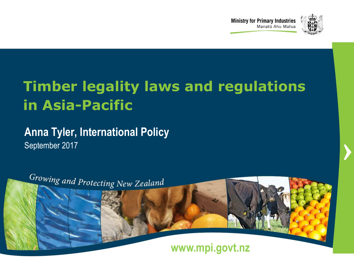



### **Timber legality laws and regulations in Asia-Pacific**

#### **Anna Tyler, International Policy** September 2017

Growing and Protecting New Zealand **www.mpi.govt.nz www.mpi.govt.nz •** 1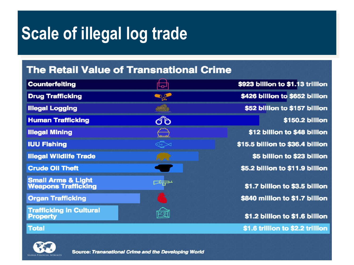# **Scale of illegal log trade**

#### **The Retail Value of Transnational Crime**

| <b>Counterfeiting</b>                                       | 니                                                          | \$923 billion to \$1.13 trillion |
|-------------------------------------------------------------|------------------------------------------------------------|----------------------------------|
| <b>Drug Trafficking</b>                                     | 0,0                                                        | \$426 billion to \$652 billion   |
| <b>Illegal Logging</b>                                      |                                                            | \$52 billion to \$157 billion    |
| <b>Human Trafficking</b>                                    | రోం                                                        | \$150.2 billion                  |
| <b>Illegal Mining</b>                                       | $\begin{array}{c} \hline \hline \hline \hline \end{array}$ | \$12 billion to \$48 billion     |
| <b>IUU Fishing</b>                                          |                                                            | \$15.5 billion to \$36.4 billion |
| <b>Illegal Wildlife Trade</b>                               | Pared.                                                     | \$5 billion to \$23 billion      |
| <b>Crude Oil Theft</b>                                      |                                                            | \$5.2 billion to \$11.9 billion  |
| <b>Small Arms &amp; Light</b><br><b>Weapons Trafficking</b> | ᄻ                                                          | \$1.7 billion to \$3.5 billion   |
| <b>Organ Trafficking</b>                                    |                                                            | \$840 million to \$1.7 billion   |
| <b>Trafficking in Cultural</b><br><b>Property</b>           |                                                            | \$1.2 billion to \$1.6 billion   |
| <b>Total</b>                                                |                                                            | \$1.6 trillion to \$2.2 trillion |

**www.mpi.govt.nz •** 2



**Source: Transnational Crime and the Developing World**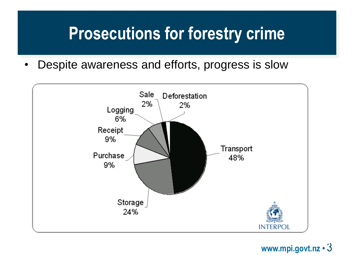# **Prosecutions for forestry crime**

• Despite awareness and efforts, progress is slow



**www.mpi.govt.nz •** 3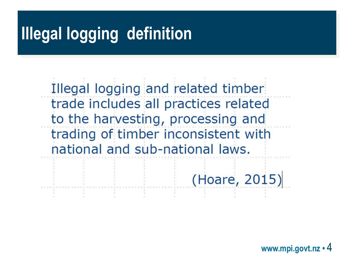# **Illegal logging definition**

Illegal logging and related timber trade includes all practices related to the harvesting, processing and trading of timber inconsistent with national and sub-national laws.

(Hoare, 2015)

**www.mpi.govt.nz •** 4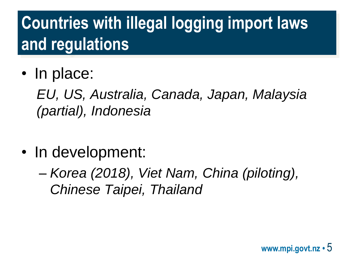# **Countries with illegal logging import laws and regulations**

• In place:

*EU, US, Australia, Canada, Japan, Malaysia (partial), Indonesia*

- In development:
	- *Korea (2018), Viet Nam, China (piloting), Chinese Taipei, Thailand*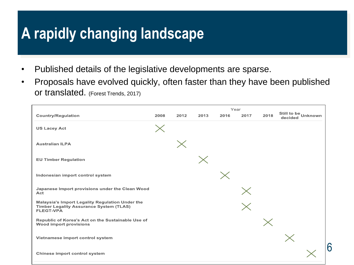#### **A rapidly changing landscape**

- Published details of the legislative developments are sparse.
- Proposals have evolved quickly, often faster than they have been published or translated. (Forest Trends, 2017)

| <b>Country/Regulation</b>                                                                                                    | 2008     | 2012 | 2013 | 2016 | Year<br>2017 | 2018 | Still to be Unknown<br>decided |
|------------------------------------------------------------------------------------------------------------------------------|----------|------|------|------|--------------|------|--------------------------------|
| <b>US Lacey Act</b>                                                                                                          | $\times$ |      |      |      |              |      |                                |
| <b>Australian ILPA</b>                                                                                                       |          |      |      |      |              |      |                                |
| <b>EU Timber Regulation</b>                                                                                                  |          |      |      |      |              |      |                                |
| Indonesian import control system                                                                                             |          |      |      |      |              |      |                                |
| Japanese Import provisions under the Clean Wood<br>Act                                                                       |          |      |      |      | $\times$     |      |                                |
| <b>Malaysia's Import Legality Regulation Under the</b><br><b>Timber Legality Assurance System (TLAS)</b><br><b>FLEGT-VPA</b> |          |      |      |      |              |      |                                |
| Republic of Korea's Act on the Sustainable Use of<br><b>Wood import provisions</b>                                           |          |      |      |      |              |      |                                |
| Vietnamese import control system                                                                                             |          |      |      |      |              |      | $\times$                       |
| <b>Chinese import control system</b>                                                                                         |          |      |      |      |              |      | 6                              |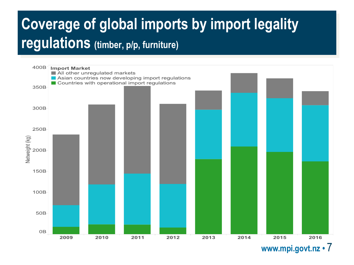### **Coverage of global imports by import legality regulations (timber, p/p, furniture)**



**www.mpi.govt.nz •** 7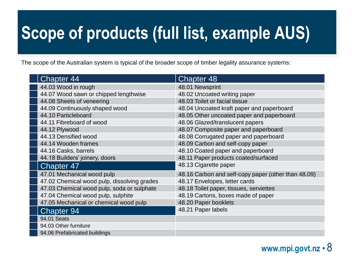# **Scope of products (full list, example AUS)**

The scope of the Australian system is typical of the broader scope of timber legality assurance systems:

| <b>Chapter 44</b>                           | <b>Chapter 48</b>                                   |
|---------------------------------------------|-----------------------------------------------------|
| 44.03 Wood in rough                         | 48.01 Newsprint                                     |
| 44.07 Wood sawn or chipped lengthwise       | 48.02 Uncoated writing paper                        |
| 44.08 Sheets of veneering                   | 48.03 Toilet or facial tissue                       |
| 44.09 Continuously shaped wood              | 48.04 Uncoated kraft paper and paperboard           |
| 44.10 Particleboard                         | 48.05 Other uncoated paper and paperboard           |
| 44.11 Fibreboard of wood                    | 48.06 Glazed/translucent papers                     |
| 44.12 Plywood                               | 48.07 Composite paper and paperboard                |
| 44.13 Densified wood                        | 48.08 Corrugated paper and paperboard               |
| 44.14 Wooden frames                         | 48.09 Carbon and self-copy paper                    |
| 44.16 Casks, barrels                        | 48.10 Coated paper and paperboard                   |
| 44.18 Builders' joinery, doors              | 48.11 Paper products coated/surfaced                |
| <b>Chapter 47</b>                           | 48.13 Cigarette paper                               |
| 47.01 Mechanical wood pulp                  | 48.16 Carbon and self-copy paper (other than 48.09) |
| 47.02 Chemical wood pulp, dissolving grades | 48.17 Envelopes, letter cards                       |
| 47.03 Chemical wood pulp, soda or sulphate  | 48.18 Toilet paper, tissues, serviettes             |
| 47.04 Chemical wood pulp, sulphite          | 48.19 Cartons, boxes made of paper                  |
| 47.05 Mechanical or chemical wood pulp      | 48.20 Paper booklets                                |
| <b>Chapter 94</b>                           | 48.21 Paper labels                                  |
| 94.01 Seats                                 |                                                     |
| 94.03 Other furniture                       |                                                     |
| 94.06 Prefabricated buildings               |                                                     |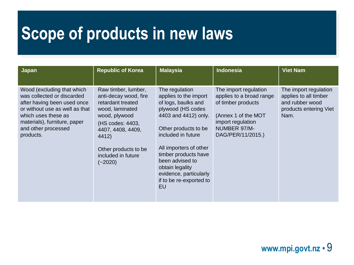## **Scope of products in new laws**

| <b>Japan</b>                                                                                                                                                                                                         | <b>Republic of Korea</b>                                                                                                                                                                                           | <b>Malaysia</b>                                                                                                                                                                                                                                                                                                     | <b>Indonesia</b>                                                                                                                                         | <b>Viet Nam</b>                                                                                     |
|----------------------------------------------------------------------------------------------------------------------------------------------------------------------------------------------------------------------|--------------------------------------------------------------------------------------------------------------------------------------------------------------------------------------------------------------------|---------------------------------------------------------------------------------------------------------------------------------------------------------------------------------------------------------------------------------------------------------------------------------------------------------------------|----------------------------------------------------------------------------------------------------------------------------------------------------------|-----------------------------------------------------------------------------------------------------|
| Wood (excluding that which<br>was collected or discarded<br>after having been used once<br>or without use as well as that<br>which uses these as<br>materials), furniture, paper<br>and other processed<br>products. | Raw timber, lumber,<br>anti-decay wood, fire<br>retardant treated<br>wood, laminated<br>wood, plywood<br>(HS codes: 4403,<br>4407, 4408, 4409,<br>4412)<br>Other products to be<br>included in future<br>$(-2020)$ | The regulation<br>applies to the import<br>of logs, baulks and<br>plywood (HS codes<br>4403 and 4412) only.<br>Other products to be<br>included in future<br>All importers of other<br>timber products have<br>been advised to<br>obtain legality<br>evidence, particularly<br>if to be re-exported to<br><b>EU</b> | The import regulation<br>applies to a broad range<br>of timber products<br>(Annex 1 of the MOT<br>import regulation<br>NUMBER 97/M-<br>DAG/PER/11/2015.) | The import regulation<br>applies to all timber<br>and rubber wood<br>products entering Viet<br>Nam. |

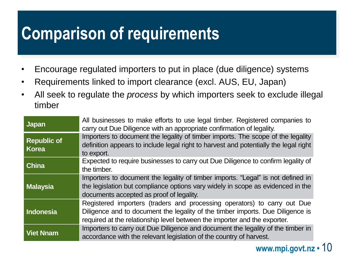# **Comparison of requirements**

- Encourage regulated importers to put in place (due diligence) systems
- Requirements linked to import clearance (excl. AUS, EU, Japan)
- All seek to regulate the *process* by which importers seek to exclude illegal timber

| <b>Japan</b>                       | All businesses to make efforts to use legal timber. Registered companies to<br>carry out Due Diligence with an appropriate confirmation of legality.                                                                                    |
|------------------------------------|-----------------------------------------------------------------------------------------------------------------------------------------------------------------------------------------------------------------------------------------|
| <b>Republic of</b><br><b>Korea</b> | Importers to document the legality of timber imports. The scope of the legality<br>definition appears to include legal right to harvest and potentially the legal right<br>to export.                                                   |
| <b>China</b>                       | Expected to require businesses to carry out Due Diligence to confirm legality of<br>the timber.                                                                                                                                         |
| <b>Malaysia</b>                    | Importers to document the legality of timber imports. "Legal" is not defined in<br>the legislation but compliance options vary widely in scope as evidenced in the<br>documents accepted as proof of legality.                          |
| Indonesia                          | Registered importers (traders and processing operators) to carry out Due<br>Diligence and to document the legality of the timber imports. Due Diligence is<br>required at the relationship level between the importer and the exporter. |
| <b>Viet Nnam</b>                   | Importers to carry out Due Diligence and document the legality of the timber in<br>accordance with the relevant legislation of the country of harvest.                                                                                  |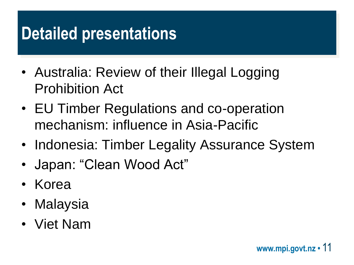# **Detailed presentations**

- Australia: Review of their Illegal Logging Prohibition Act
- EU Timber Regulations and co-operation mechanism: influence in Asia-Pacific
- Indonesia: Timber Legality Assurance System
- Japan: "Clean Wood Act"
- Korea
- Malaysia
- Viet Nam